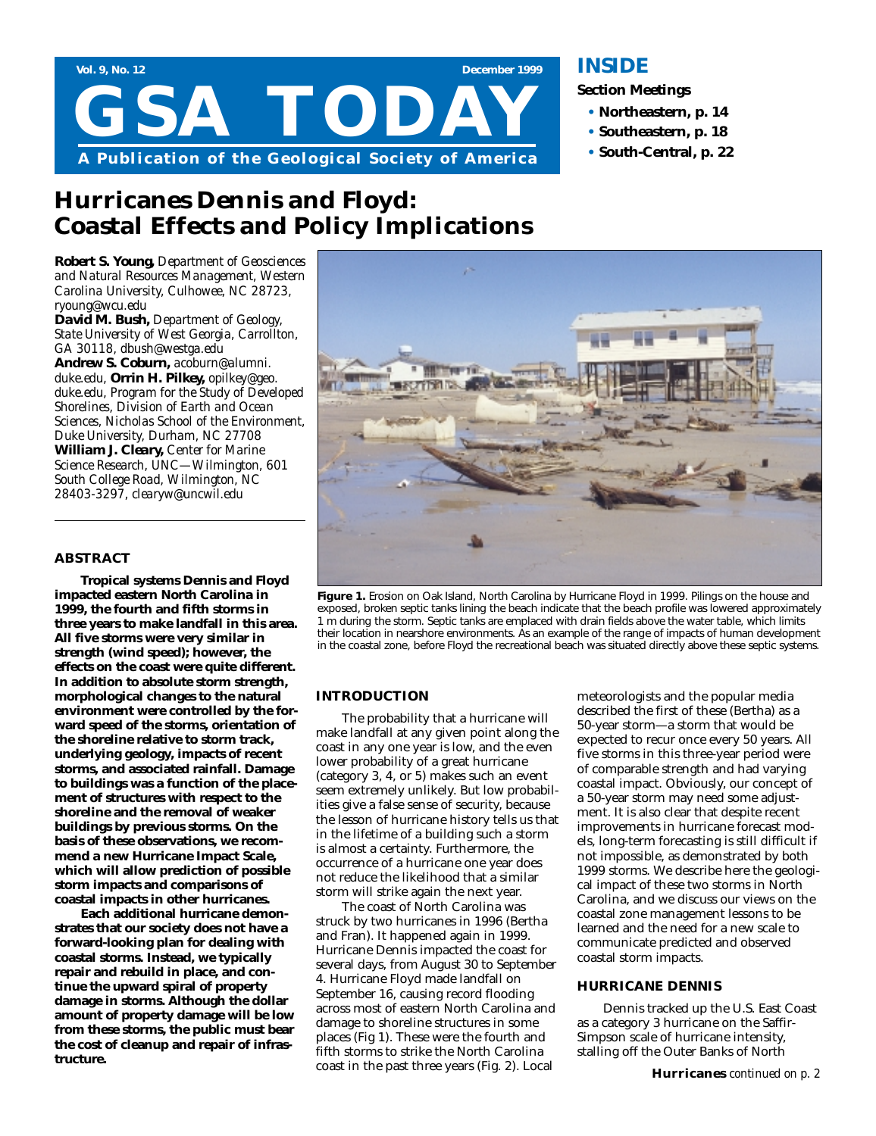

# **Hurricanes Dennis and Floyd: Coastal Effects and Policy Implications**

*Robert S. Young, Department of Geosciences and Natural Resources Management, Western Carolina University, Culhowee, NC 28723, ryoung@wcu.edu*

*David M. Bush, Department of Geology, State University of West Georgia, Carrollton, GA 30118, dbush@westga.edu* 

*Andrew S. Coburn, acoburn@alumni. duke.edu, Orrin H. Pilkey, opilkey@geo. duke.edu, Program for the Study of Developed Shorelines, Division of Earth and Ocean Sciences, Nicholas School of the Environment, Duke University, Durham, NC 27708 William J. Cleary, Center for Marine Science Research, UNC—Wilmington, 601 South College Road, Wilmington, NC 28403-3297, clearyw@uncwil.edu*

### **ABSTRACT**

**Tropical systems Dennis and Floyd impacted eastern North Carolina in 1999, the fourth and fifth storms in three years to make landfall in this area. All five storms were very similar in strength (wind speed); however, the effects on the coast were quite different. In addition to absolute storm strength, morphological changes to the natural environment were controlled by the forward speed of the storms, orientation of the shoreline relative to storm track, underlying geology, impacts of recent storms, and associated rainfall. Damage to buildings was a function of the placement of structures with respect to the shoreline and the removal of weaker buildings by previous storms. On the basis of these observations, we recommend a new Hurricane Impact Scale, which will allow prediction of possible storm impacts and comparisons of coastal impacts in other hurricanes.** 

**Each additional hurricane demonstrates that our society does not have a forward-looking plan for dealing with coastal storms. Instead, we typically repair and rebuild in place, and continue the upward spiral of property damage in storms. Although the dollar amount of property damage will be low from these storms, the public must bear the cost of cleanup and repair of infrastructure.** 

### **INSIDE**

**Section Meetings**

- **• Northeastern, p. 14**
- **• Southeastern, p. 18**
- **• South-Central, p. 22**



**Figure 1.** Erosion on Oak Island, North Carolina by Hurricane Floyd in 1999. Pilings on the house and exposed, broken septic tanks lining the beach indicate that the beach profile was lowered approximately 1 m during the storm. Septic tanks are emplaced with drain fields above the water table, which limits their location in nearshore environments. As an example of the range of impacts of human development in the coastal zone, before Floyd the recreational beach was situated directly above these septic systems.

### **INTRODUCTION**

The probability that a hurricane will make landfall at any given point along the coast in any one year is low, and the even lower probability of a great hurricane (category 3, 4, or 5) makes such an event seem extremely unlikely. But low probabilities give a false sense of security, because the lesson of hurricane history tells us that in the lifetime of a building such a storm is almost a certainty. Furthermore, the occurrence of a hurricane one year does not reduce the likelihood that a similar storm will strike again the next year.

The coast of North Carolina was struck by two hurricanes in 1996 (Bertha and Fran). It happened again in 1999. Hurricane Dennis impacted the coast for several days, from August 30 to September 4. Hurricane Floyd made landfall on September 16, causing record flooding across most of eastern North Carolina and damage to shoreline structures in some places (Fig 1). These were the fourth and fifth storms to strike the North Carolina coast in the past three years (Fig. 2). Local

meteorologists and the popular media described the first of these (Bertha) as a 50-year storm—a storm that would be expected to recur once every 50 years. All five storms in this three-year period were of comparable strength and had varying coastal impact. Obviously, our concept of a 50-year storm may need some adjustment. It is also clear that despite recent improvements in hurricane forecast models, long-term forecasting is still difficult if not impossible, as demonstrated by both 1999 storms. We describe here the geological impact of these two storms in North Carolina, and we discuss our views on the coastal zone management lessons to be learned and the need for a new scale to communicate predicted and observed coastal storm impacts.

### **HURRICANE DENNIS**

Dennis tracked up the U.S. East Coast as a category 3 hurricane on the Saffir-Simpson scale of hurricane intensity, stalling off the Outer Banks of North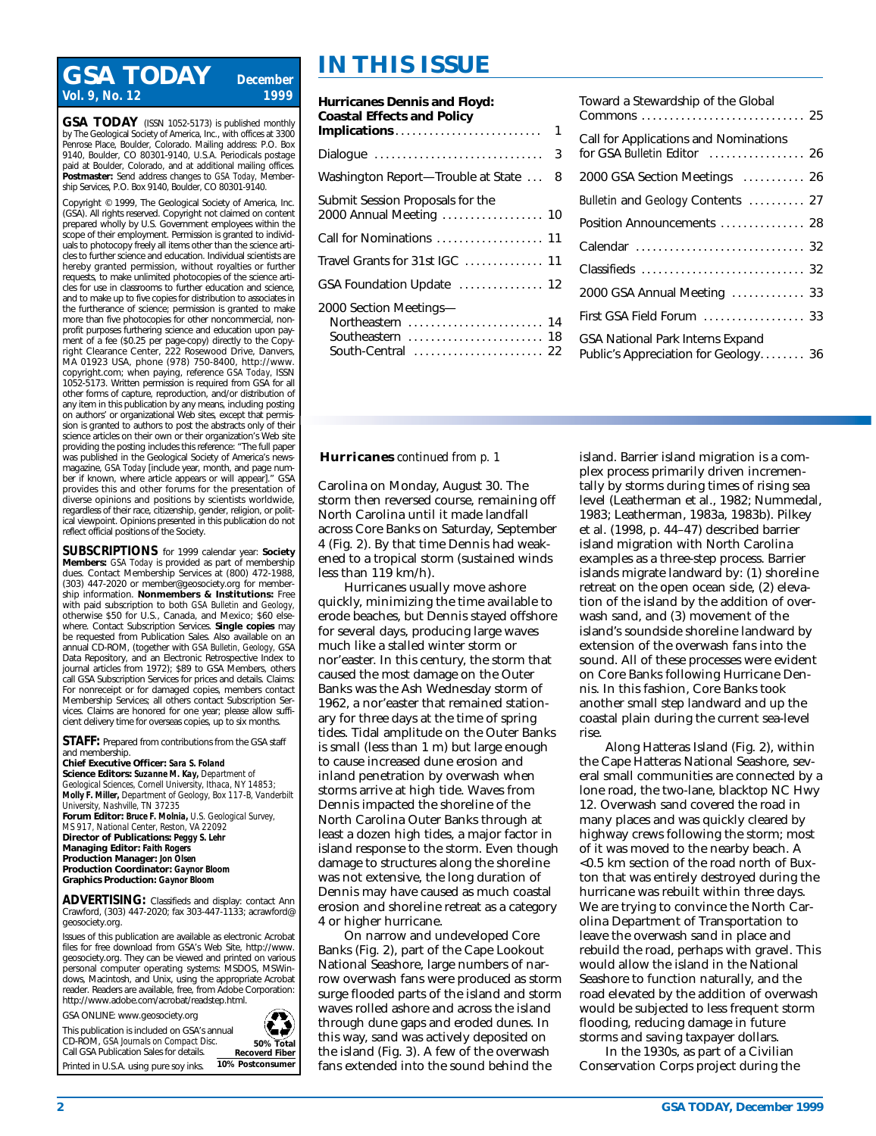# **IN THIS ISSUE GSA TODAY** *December Vol. 9, No. 12*

**GSA TODAY** (ISSN 1052-5173) is published monthly by The Geological Society of America, Inc., with offices at 3300 Penrose Place, Boulder, Colorado. Mailing address: P.O. Box 9140, Boulder, CO 80301-9140, U.S.A. Periodicals postage paid at Boulder, Colorado, and at additional mailing offices. **Postmaster:** Send address changes to *GSA Today,* Membership Services, P.O. Box 9140, Boulder, C.O. 80301-9140.

Copyright © 1999, The Geological Society of America, Inc. (GSA). All rights reserved. Copyright not claimed on content prepared wholly by U.S. Government employees within the scope of their employment. Permission is granted to individuals to photocopy freely all items other than the science articles to further science and education. Individual scientists are hereby granted permission, without royalties or further requests, to make unlimited photocopies of the science articles for use in classrooms to further education and science, and to make up to five copies for distribution to associates in the furtherance of science; permission is granted to make more than five photocopies for other noncommercial, nonprofit purposes furthering science and education upon payment of a fee (\$0.25 per page-copy) directly to the Copyright Clearance Center, 222 Rosewood Drive, Danvers, MA 01923 USA, phone (978) 750-8400, http://www. copyright.com; when paying, reference *GSA Today,* ISSN 1052-5173. Written permission is required from GSA for all other forms of capture, reproduction, and/or distribution of any item in this publication by any means, including posting on authors' or organizational Web sites, except that permission is granted to authors to post the abstracts only of their science articles on their own or their organization's Web site providing the posting includes this reference: "The full paper was published in the Geological Society of America's newsmagazine, *GSA Today* [include year, month, and page number if known, where article appears or will appear]." GSA provides this and other forums for the presentation of diverse opinions and positions by scientists worldwide, regardless of their race, citizenship, gender, religion, or political viewpoint. Opinions presented in this publication do not reflect official positions of the Society.

**SUBSCRIPTIONS** for 1999 calendar year: **Society Members:** *GSA Today* is provided as part of membership dues. Contact Membership Services at (800) 472-1988, (303) 447-2020 or member@geosociety.org for membership information. **Nonmembers & Institutions:** Free with paid subscription to both *GSA Bulletin* and *Geology,* otherwise \$50 for U.S., Canada, and Mexico; \$60 elsewhere. Contact Subscription Services. **Single copies** may be requested from Publication Sales. Also available on an annual CD-ROM, (together with *GSA Bulletin, Geology,* GSA Data Repository, and an Electronic Retrospective Index to journal articles from 1972); \$89 to GSA Members, others call GSA Subscription Services for prices and details. Claims: For nonreceipt or for damaged copies, members contact Membership Services; all others contact Subscription Services. Claims are honored for one year; please allow sufficient delivery time for overseas copies, up to six months.

**STAFF:** Prepared from contributions from the GSA staff and membership.

**Chief Executive Officer:** *Sara S. Foland* **Science Editors:** *Suzanne M. Kay, Department of Geological Sciences, Cornell University, Ithaca, NY 14853; Molly F. Miller, Department of Geology, Box 117-B, Vanderbilt University, Nashville, TN 37235* **Forum Editor:** *Bruce F. Molnia, U.S. Geological Survey, MS 917, National Center, Reston, VA 22092* **Director of Publications:** *Peggy S. Lehr* **Managing Editor:** *Faith Rogers* **Production Manager:** *Jon Olsen*

**Production Coordinator:** *Gaynor Bloom* **Graphics Production:** *Gaynor Bloom*

**ADVERTISING:** Classifieds and display: contact Ann Crawford, (303) 447-2020; fax 303-447-1133; acrawford@ geosociety.org.

Issues of this publication are available as electronic Acrobat files for free download from GSA's Web Site, http://www. geosociety.org. They can be viewed and printed on various personal computer operating systems: MSDOS, MSWindows, Macintosh, and Unix, using the appropriate Acrobat reader. Readers are available, free, from Adobe Corporation: http://www.adobe.com/acrobat/readstep.html.

GSA ONLINE: www.geosociety.org

Printed in U.S.A. using pure soy inks.

This publication is included on GSA's annual CD-ROM, *GSA Journals on Compact Disc.*  Call GSA Publication Sales for details. **10% Postconsumer**



**50% Total Recoverd Fiber**

ČĴ

## **Hurricanes Dennis and Floyd: Coastal Effects and Policy Implications** .......................... 1 Dialogue .............................. 3 Washington Report—Trouble at State ... 8 Submit Session Proposals for the 2000 Annual Meeting . . . . . . . . . . . . . . . . . . 10 Call for Nominations . . . . . . . . . . . . . . . . . . . 11 Travel Grants for 31st IGC . . . . . . . . . . . . . . 11 GSA Foundation Update ............... 12 2000 Section Meetings— Northeastern . . . . . . . . . . . . . . . . . . . . . . . . 14 Southeastern . . . . . . . . . . . . . . . . . . . . . . . . 18 South-Central ......................... 22

| Toward a Stewardship of the Global                                              |
|---------------------------------------------------------------------------------|
| Call for Applications and Nominations<br>for GSA Bulletin Editor  26            |
| 2000 GSA Section Meetings  26                                                   |
| Bulletin and Geology Contents  27                                               |
| Position Announcements  28                                                      |
|                                                                                 |
|                                                                                 |
| 2000 GSA Annual Meeting  33                                                     |
| First GSA Field Forum  33                                                       |
| <b>GSA National Park Interns Expand</b><br>Public's Appreciation for Geology 36 |

### **Hurricanes** *continued from p. 1*

Carolina on Monday, August 30. The storm then reversed course, remaining off North Carolina until it made landfall across Core Banks on Saturday, September 4 (Fig. 2). By that time Dennis had weakened to a tropical storm (sustained winds less than 119 km/h).

Hurricanes usually move ashore quickly, minimizing the time available to erode beaches, but Dennis stayed offshore for several days, producing large waves much like a stalled winter storm or nor'easter. In this century, the storm that caused the most damage on the Outer Banks was the Ash Wednesday storm of 1962, a nor'easter that remained stationary for three days at the time of spring tides. Tidal amplitude on the Outer Banks is small (less than 1 m) but large enough to cause increased dune erosion and inland penetration by overwash when storms arrive at high tide. Waves from Dennis impacted the shoreline of the North Carolina Outer Banks through at least a dozen high tides, a major factor in island response to the storm. Even though damage to structures along the shoreline was not extensive, the long duration of Dennis may have caused as much coastal erosion and shoreline retreat as a category 4 or higher hurricane.

On narrow and undeveloped Core Banks (Fig. 2), part of the Cape Lookout National Seashore, large numbers of narrow overwash fans were produced as storm surge flooded parts of the island and storm waves rolled ashore and across the island through dune gaps and eroded dunes. In this way, sand was actively deposited on the island (Fig. 3). A few of the overwash fans extended into the sound behind the

island. Barrier island migration is a complex process primarily driven incrementally by storms during times of rising sea level (Leatherman et al., 1982; Nummedal, 1983; Leatherman, 1983a, 1983b). Pilkey et al. (1998, p. 44–47) described barrier island migration with North Carolina examples as a three-step process. Barrier islands migrate landward by: (1) shoreline retreat on the open ocean side, (2) elevation of the island by the addition of overwash sand, and (3) movement of the island's soundside shoreline landward by extension of the overwash fans into the sound. All of these processes were evident on Core Banks following Hurricane Dennis. In this fashion, Core Banks took another small step landward and up the coastal plain during the current sea-level rise.

Along Hatteras Island (Fig. 2), within the Cape Hatteras National Seashore, several small communities are connected by a lone road, the two-lane, blacktop NC Hwy 12. Overwash sand covered the road in many places and was quickly cleared by highway crews following the storm; most of it was moved to the nearby beach. A <0.5 km section of the road north of Buxton that was entirely destroyed during the hurricane was rebuilt within three days. We are trying to convince the North Carolina Department of Transportation to leave the overwash sand in place and rebuild the road, perhaps with gravel. This would allow the island in the National Seashore to function naturally, and the road elevated by the addition of overwash would be subjected to less frequent storm flooding, reducing damage in future storms and saving taxpayer dollars.

In the 1930s, as part of a Civilian Conservation Corps project during the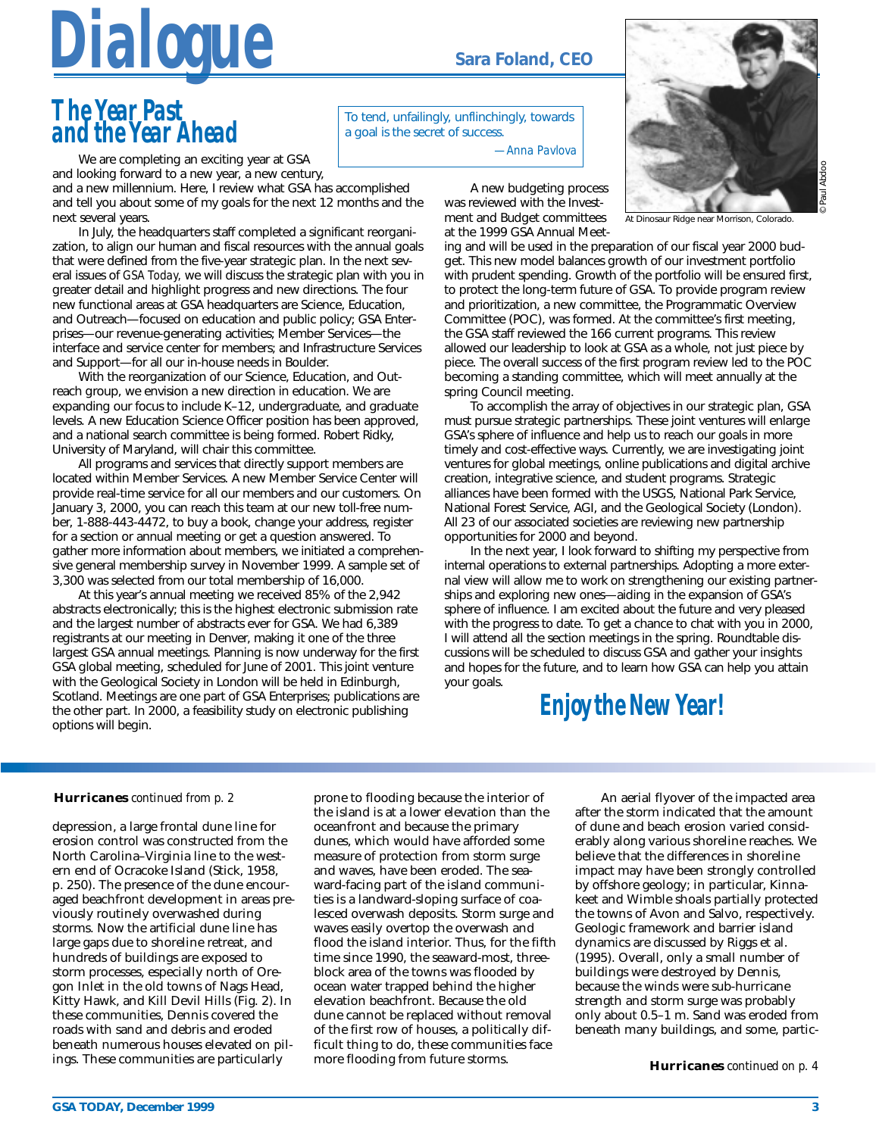

# *The Year Past and the Year Ahead*

We are completing an exciting year at GSA and looking forward to a new year, a new century,

and a new millennium. Here, I review what GSA has accomplished and tell you about some of my goals for the next 12 months and the next several years.

In July, the headquarters staff completed a significant reorganization, to align our human and fiscal resources with the annual goals that were defined from the five-year strategic plan. In the next several issues of *GSA Today,* we will discuss the strategic plan with you in greater detail and highlight progress and new directions. The four new functional areas at GSA headquarters are Science, Education, and Outreach—focused on education and public policy; GSA Enterprises—our revenue-generating activities; Member Services—the interface and service center for members; and Infrastructure Services and Support—for all our in-house needs in Boulder.

With the reorganization of our Science, Education, and Outreach group, we envision a new direction in education. We are expanding our focus to include K–12, undergraduate, and graduate levels. A new Education Science Officer position has been approved, and a national search committee is being formed. Robert Ridky, University of Maryland, will chair this committee.

All programs and services that directly support members are located within Member Services. A new Member Service Center will provide real-time service for all our members and our customers. On January 3, 2000, you can reach this team at our new toll-free number, 1-888-443-4472, to buy a book, change your address, register for a section or annual meeting or get a question answered. To gather more information about members, we initiated a comprehensive general membership survey in November 1999. A sample set of 3,300 was selected from our total membership of 16,000.

At this year's annual meeting we received 85% of the 2,942 abstracts electronically; this is the highest electronic submission rate and the largest number of abstracts ever for GSA. We had 6,389 registrants at our meeting in Denver, making it one of the three largest GSA annual meetings. Planning is now underway for the first GSA global meeting, scheduled for June of 2001. This joint venture with the Geological Society in London will be held in Edinburgh, Scotland. Meetings are one part of GSA Enterprises; publications are the other part. In 2000, a feasibility study on electronic publishing options will begin.

To tend, unfailingly, unflinchingly, towards a goal is the secret of success.

*—Anna Pavlova*

A new budgeting process was reviewed with the Investment and Budget committees at the 1999 GSA Annual Meet-



© Paul Abdoo

At Dinosaur Ridge near Morrison, Colorado.

ing and will be used in the preparation of our fiscal year 2000 budget. This new model balances growth of our investment portfolio with prudent spending. Growth of the portfolio will be ensured first, to protect the long-term future of GSA. To provide program review and prioritization, a new committee, the Programmatic Overview Committee (POC), was formed. At the committee's first meeting, the GSA staff reviewed the 166 current programs. This review allowed our leadership to look at GSA as a whole, not just piece by piece. The overall success of the first program review led to the POC becoming a standing committee, which will meet annually at the spring Council meeting.

To accomplish the array of objectives in our strategic plan, GSA must pursue strategic partnerships. These joint ventures will enlarge GSA's sphere of influence and help us to reach our goals in more timely and cost-effective ways. Currently, we are investigating joint ventures for global meetings, online publications and digital archive creation, integrative science, and student programs. Strategic alliances have been formed with the USGS, National Park Service, National Forest Service, AGI, and the Geological Society (London). All 23 of our associated societies are reviewing new partnership opportunities for 2000 and beyond.

In the next year, I look forward to shifting my perspective from internal operations to external partnerships. Adopting a more external view will allow me to work on strengthening our existing partnerships and exploring new ones—aiding in the expansion of GSA's sphere of influence. I am excited about the future and very pleased with the progress to date. To get a chance to chat with you in 2000, I will attend all the section meetings in the spring. Roundtable discussions will be scheduled to discuss GSA and gather your insights and hopes for the future, and to learn how GSA can help you attain your goals.

# *Enjoy the New Year!*

### **Hurricanes** *continued from p. 2*

depression, a large frontal dune line for erosion control was constructed from the North Carolina–Virginia line to the western end of Ocracoke Island (Stick, 1958, p. 250). The presence of the dune encouraged beachfront development in areas previously routinely overwashed during storms. Now the artificial dune line has large gaps due to shoreline retreat, and hundreds of buildings are exposed to storm processes, especially north of Oregon Inlet in the old towns of Nags Head, Kitty Hawk, and Kill Devil Hills (Fig. 2). In these communities, Dennis covered the roads with sand and debris and eroded beneath numerous houses elevated on pilings. These communities are particularly

prone to flooding because the interior of the island is at a lower elevation than the oceanfront and because the primary dunes, which would have afforded some measure of protection from storm surge and waves, have been eroded. The seaward-facing part of the island communities is a landward-sloping surface of coalesced overwash deposits. Storm surge and waves easily overtop the overwash and flood the island interior. Thus, for the fifth time since 1990, the seaward-most, threeblock area of the towns was flooded by ocean water trapped behind the higher elevation beachfront. Because the old dune cannot be replaced without removal of the first row of houses, a politically difficult thing to do, these communities face more flooding from future storms.

An aerial flyover of the impacted area after the storm indicated that the amount of dune and beach erosion varied considerably along various shoreline reaches. We believe that the differences in shoreline impact may have been strongly controlled by offshore geology; in particular, Kinnakeet and Wimble shoals partially protected the towns of Avon and Salvo, respectively. Geologic framework and barrier island dynamics are discussed by Riggs et al. (1995). Overall, only a small number of buildings were destroyed by Dennis, because the winds were sub-hurricane strength and storm surge was probably only about 0.5–1 m. Sand was eroded from beneath many buildings, and some, partic-

**Hurricanes** *continued on p. 4*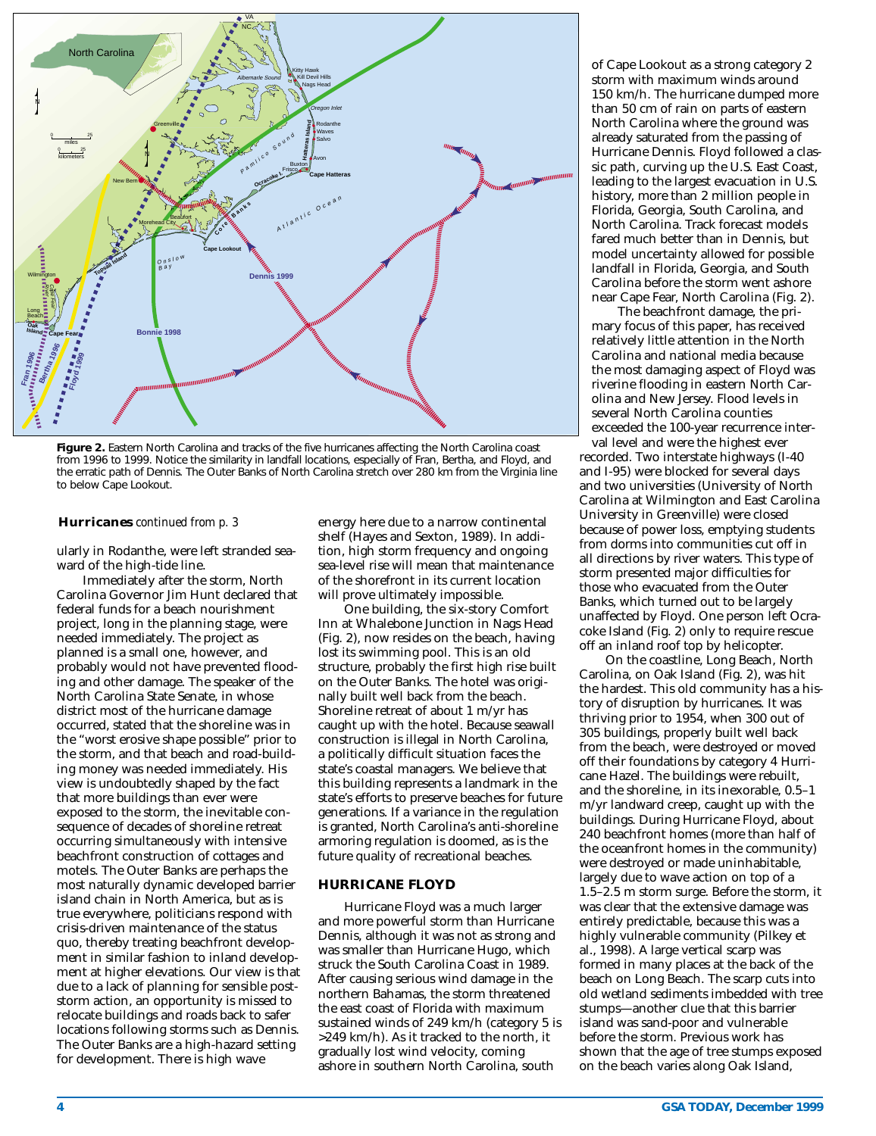

**Figure 2.** Eastern North Carolina and tracks of the five hurricanes affecting the North Carolina coast from 1996 to 1999. Notice the similarity in landfall locations, especially of Fran, Bertha, and Floyd, and the erratic path of Dennis. The Outer Banks of North Carolina stretch over 280 km from the Virginia line to below Cape Lookout.

### **Hurricanes** *continued from p. 3*

ularly in Rodanthe, were left stranded seaward of the high-tide line.

Immediately after the storm, North Carolina Governor Jim Hunt declared that federal funds for a beach nourishment project, long in the planning stage, were needed immediately. The project as planned is a small one, however, and probably would not have prevented flooding and other damage. The speaker of the North Carolina State Senate, in whose district most of the hurricane damage occurred, stated that the shoreline was in the "worst erosive shape possible" prior to the storm, and that beach and road-building money was needed immediately. His view is undoubtedly shaped by the fact that more buildings than ever were exposed to the storm, the inevitable consequence of decades of shoreline retreat occurring simultaneously with intensive beachfront construction of cottages and motels. The Outer Banks are perhaps the most naturally dynamic developed barrier island chain in North America, but as is true everywhere, politicians respond with crisis-driven maintenance of the status quo, thereby treating beachfront development in similar fashion to inland development at higher elevations. Our view is that due to a lack of planning for sensible poststorm action, an opportunity is missed to relocate buildings and roads back to safer locations following storms such as Dennis. The Outer Banks are a high-hazard setting for development. There is high wave

energy here due to a narrow continental shelf (Hayes and Sexton, 1989). In addition, high storm frequency and ongoing sea-level rise will mean that maintenance of the shorefront in its current location will prove ultimately impossible.

One building, the six-story Comfort Inn at Whalebone Junction in Nags Head (Fig. 2), now resides on the beach, having lost its swimming pool. This is an old structure, probably the first high rise built on the Outer Banks. The hotel was originally built well back from the beach. Shoreline retreat of about 1 m/yr has caught up with the hotel. Because seawall construction is illegal in North Carolina, a politically difficult situation faces the state's coastal managers. We believe that this building represents a landmark in the state's efforts to preserve beaches for future generations. If a variance in the regulation is granted, North Carolina's anti-shoreline armoring regulation is doomed, as is the future quality of recreational beaches.

### **HURRICANE FLOYD**

Hurricane Floyd was a much larger and more powerful storm than Hurricane Dennis, although it was not as strong and was smaller than Hurricane Hugo, which struck the South Carolina Coast in 1989. After causing serious wind damage in the northern Bahamas, the storm threatened the east coast of Florida with maximum sustained winds of 249 km/h (category 5 is >249 km/h). As it tracked to the north, it gradually lost wind velocity, coming ashore in southern North Carolina, south

of Cape Lookout as a strong category 2 storm with maximum winds around 150 km/h. The hurricane dumped more than 50 cm of rain on parts of eastern North Carolina where the ground was already saturated from the passing of Hurricane Dennis. Floyd followed a classic path, curving up the U.S. East Coast, leading to the largest evacuation in U.S. history, more than 2 million people in Florida, Georgia, South Carolina, and North Carolina. Track forecast models fared much better than in Dennis, but model uncertainty allowed for possible landfall in Florida, Georgia, and South Carolina before the storm went ashore near Cape Fear, North Carolina (Fig. 2).

The beachfront damage, the primary focus of this paper, has received relatively little attention in the North Carolina and national media because the most damaging aspect of Floyd was riverine flooding in eastern North Carolina and New Jersey. Flood levels in several North Carolina counties exceeded the 100-year recurrence interval level and were the highest ever

recorded. Two interstate highways (I-40 and I-95) were blocked for several days and two universities (University of North Carolina at Wilmington and East Carolina University in Greenville) were closed because of power loss, emptying students from dorms into communities cut off in all directions by river waters. This type of storm presented major difficulties for those who evacuated from the Outer Banks, which turned out to be largely unaffected by Floyd. One person left Ocracoke Island (Fig. 2) only to require rescue off an inland roof top by helicopter.

On the coastline, Long Beach, North Carolina, on Oak Island (Fig. 2), was hit the hardest. This old community has a history of disruption by hurricanes. It was thriving prior to 1954, when 300 out of 305 buildings, properly built well back from the beach, were destroyed or moved off their foundations by category 4 Hurricane Hazel. The buildings were rebuilt, and the shoreline, in its inexorable, 0.5–1 m/yr landward creep, caught up with the buildings. During Hurricane Floyd, about 240 beachfront homes (more than half of the oceanfront homes in the community) were destroyed or made uninhabitable, largely due to wave action on top of a 1.5–2.5 m storm surge. Before the storm, it was clear that the extensive damage was entirely predictable, because this was a highly vulnerable community (Pilkey et al., 1998). A large vertical scarp was formed in many places at the back of the beach on Long Beach. The scarp cuts into old wetland sediments imbedded with tree stumps—another clue that this barrier island was sand-poor and vulnerable before the storm. Previous work has shown that the age of tree stumps exposed on the beach varies along Oak Island,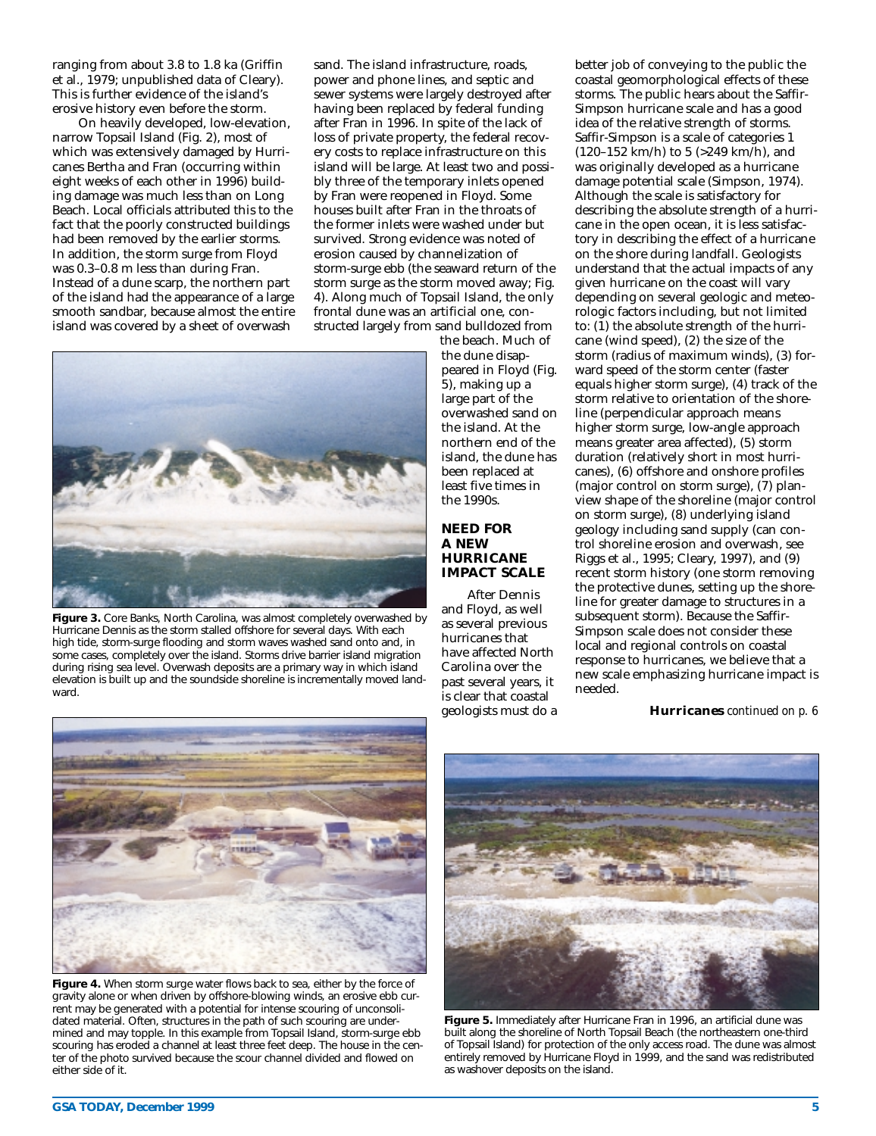ranging from about 3.8 to 1.8 ka (Griffin et al., 1979; unpublished data of Cleary). This is further evidence of the island's erosive history even before the storm.

On heavily developed, low-elevation, narrow Topsail Island (Fig. 2), most of which was extensively damaged by Hurricanes Bertha and Fran (occurring within eight weeks of each other in 1996) building damage was much less than on Long Beach. Local officials attributed this to the fact that the poorly constructed buildings had been removed by the earlier storms. In addition, the storm surge from Floyd was 0.3–0.8 m less than during Fran. Instead of a dune scarp, the northern part of the island had the appearance of a large smooth sandbar, because almost the entire island was covered by a sheet of overwash

sand. The island infrastructure, roads, power and phone lines, and septic and sewer systems were largely destroyed after having been replaced by federal funding after Fran in 1996. In spite of the lack of loss of private property, the federal recovery costs to replace infrastructure on this island will be large. At least two and possibly three of the temporary inlets opened by Fran were reopened in Floyd. Some houses built after Fran in the throats of the former inlets were washed under but survived. Strong evidence was noted of erosion caused by channelization of storm-surge ebb (the seaward return of the storm surge as the storm moved away; Fig. 4). Along much of Topsail Island, the only frontal dune was an artificial one, constructed largely from sand bulldozed from



Figure 3. Core Banks, North Carolina, was almost completely overwashed by Hurricane Dennis as the storm stalled offshore for several days. With each high tide, storm-surge flooding and storm waves washed sand onto and, in some cases, completely over the island. Storms drive barrier island migration during rising sea level. Overwash deposits are a primary way in which island elevation is built up and the soundside shoreline is incrementally moved landward.

the beach. Much of the dune disappeared in Floyd (Fig. 5), making up a large part of the overwashed sand on the island. At the northern end of the island, the dune has been replaced at least five times in the 1990s.

### **NEED FOR A NEW HURRICANE IMPACT SCALE**

After Dennis and Floyd, as well as several previous hurricanes that have affected North Carolina over the past several years, it is clear that coastal geologists must do a better job of conveying to the public the coastal geomorphological effects of these storms. The public hears about the Saffir-Simpson hurricane scale and has a good idea of the relative strength of storms. Saffir-Simpson is a scale of categories 1 (120–152 km/h) to 5 (>249 km/h), and was originally developed as a hurricane damage potential scale (Simpson, 1974). Although the scale is satisfactory for describing the absolute strength of a hurricane in the open ocean, it is less satisfactory in describing the effect of a hurricane on the shore during landfall. Geologists understand that the actual impacts of any given hurricane on the coast will vary depending on several geologic and meteorologic factors including, but not limited to:  $(1)$  the absolute strength of the hurricane (wind speed), (2) the size of the storm (radius of maximum winds), (3) forward speed of the storm center (faster equals higher storm surge), (4) track of the storm relative to orientation of the shoreline (perpendicular approach means higher storm surge, low-angle approach means greater area affected), (5) storm duration (relatively short in most hurricanes), (6) offshore and onshore profiles (major control on storm surge), (7) planview shape of the shoreline (major control on storm surge), (8) underlying island geology including sand supply (can control shoreline erosion and overwash, see Riggs et al., 1995; Cleary, 1997), and (9) recent storm history (one storm removing the protective dunes, setting up the shoreline for greater damage to structures in a subsequent storm). Because the Saffir-Simpson scale does not consider these local and regional controls on coastal response to hurricanes, we believe that a new scale emphasizing hurricane impact is needed.

**Hurricanes** *continued on p. 6*



Figure 4. When storm surge water flows back to sea, either by the force of gravity alone or when driven by offshore-blowing winds, an erosive ebb current may be generated with a potential for intense scouring of unconsolidated material. Often, structures in the path of such scouring are undermined and may topple. In this example from Topsail Island, storm-surge ebb scouring has eroded a channel at least three feet deep. The house in the center of the photo survived because the scour channel divided and flowed on either side of it.



**Figure 5.** Immediately after Hurricane Fran in 1996, an artificial dune was built along the shoreline of North Topsail Beach (the northeastern one-third of Topsail Island) for protection of the only access road. The dune was almost entirely removed by Hurricane Floyd in 1999, and the sand was redistributed as washover deposits on the island.